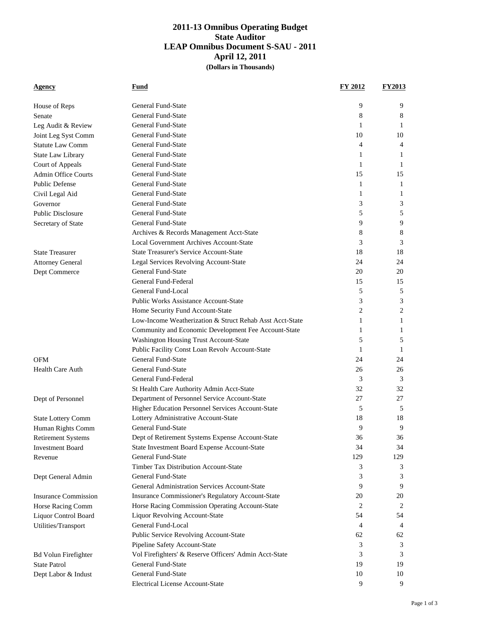## **2011-13 Omnibus Operating Budget State Auditor LEAP Omnibus Document S-SAU - 2011 April 12, 2011 (Dollars in Thousands)**

| <b>Agency</b>               | <b>Fund</b>                                              | <b>FY 2012</b> | <b>FY2013</b> |
|-----------------------------|----------------------------------------------------------|----------------|---------------|
|                             |                                                          |                |               |
| House of Reps               | General Fund-State                                       | 9              | 9             |
| Senate                      | <b>General Fund-State</b>                                | 8              | 8             |
| Leg Audit & Review          | <b>General Fund-State</b>                                | 1              | 1             |
| Joint Leg Syst Comm         | <b>General Fund-State</b>                                | 10             | 10            |
| <b>Statute Law Comm</b>     | <b>General Fund-State</b>                                | 4              | 4             |
| State Law Library           | General Fund-State                                       | 1              | 1             |
| Court of Appeals            | General Fund-State                                       | 1              | 1             |
| <b>Admin Office Courts</b>  | <b>General Fund-State</b>                                | 15             | 15            |
| <b>Public Defense</b>       | General Fund-State                                       | 1              | 1             |
| Civil Legal Aid             | <b>General Fund-State</b>                                | 1              | 1             |
| Governor                    | General Fund-State                                       | 3              | 3             |
| <b>Public Disclosure</b>    | General Fund-State                                       | 5              | 5             |
| Secretary of State          | <b>General Fund-State</b>                                | 9              | 9             |
|                             | Archives & Records Management Acct-State                 | 8              | 8             |
|                             | Local Government Archives Account-State                  | 3              | 3             |
| <b>State Treasurer</b>      | <b>State Treasurer's Service Account-State</b>           | 18             | 18            |
| <b>Attorney General</b>     | Legal Services Revolving Account-State                   | 24             | 24            |
| Dept Commerce               | General Fund-State                                       | 20             | 20            |
|                             | General Fund-Federal                                     | 15             | 15            |
|                             | General Fund-Local                                       | 5              | 5             |
|                             | <b>Public Works Assistance Account-State</b>             | 3              | 3             |
|                             | Home Security Fund Account-State                         | 2              | 2             |
|                             | Low-Income Weatherization & Struct Rehab Asst Acct-State | 1              | 1             |
|                             | Community and Economic Development Fee Account-State     | 1              | 1             |
|                             | Washington Housing Trust Account-State                   | 5              | 5             |
|                             | Public Facility Const Loan Revolv Account-State          | 1              | 1             |
| <b>OFM</b>                  | General Fund-State                                       | 24             | 24            |
| <b>Health Care Auth</b>     | <b>General Fund-State</b>                                | 26             | 26            |
|                             | General Fund-Federal                                     | 3              | 3             |
|                             | St Health Care Authority Admin Acct-State                | 32             | 32            |
| Dept of Personnel           | Department of Personnel Service Account-State            | 27             | 27            |
|                             | Higher Education Personnel Services Account-State        | 5              | 5             |
| <b>State Lottery Comm</b>   | Lottery Administrative Account-State                     | 18             | 18            |
| Human Rights Comm           | <b>General Fund-State</b>                                | 9              | 9             |
| <b>Retirement Systems</b>   | Dept of Retirement Systems Expense Account-State         | 36             | 36            |
| <b>Investment Board</b>     | State Investment Board Expense Account-State             | 34             | 34            |
| Revenue                     | <b>General Fund-State</b>                                | 129            | 129           |
|                             | <b>Timber Tax Distribution Account-State</b>             | 3              | 3             |
| Dept General Admin          | <b>General Fund-State</b>                                | 3              | 3             |
|                             | General Administration Services Account-State            | 9              | 9             |
| <b>Insurance Commission</b> | Insurance Commissioner's Regulatory Account-State        | 20             | 20            |
| Horse Racing Comm           | Horse Racing Commission Operating Account-State          | 2              | 2             |
| Liquor Control Board        | <b>Liquor Revolving Account-State</b>                    | 54             | 54            |
| Utilities/Transport         | General Fund-Local                                       | 4              | 4             |
|                             | Public Service Revolving Account-State                   | 62             | 62            |
|                             | Pipeline Safety Account-State                            | 3              | 3             |
| <b>Bd Volun Firefighter</b> | Vol Firefighters' & Reserve Officers' Admin Acct-State   | 3              | 3             |
| <b>State Patrol</b>         | General Fund-State                                       | 19             | 19            |
| Dept Labor & Indust         | General Fund-State                                       | 10             | 10            |
|                             | Electrical License Account-State                         | 9              | 9             |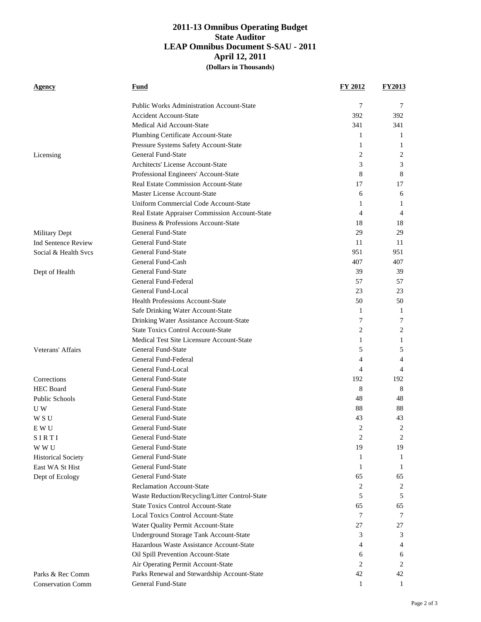## **2011-13 Omnibus Operating Budget State Auditor LEAP Omnibus Document S-SAU - 2011 April 12, 2011 (Dollars in Thousands)**

| Agency                     | <b>Fund</b>                                      | <b>FY 2012</b> | <u>FY2013</u> |
|----------------------------|--------------------------------------------------|----------------|---------------|
|                            | <b>Public Works Administration Account-State</b> | 7              | 7             |
|                            | <b>Accident Account-State</b>                    | 392            | 392           |
|                            | Medical Aid Account-State                        | 341            | 341           |
|                            | Plumbing Certificate Account-State               | 1              | 1             |
|                            | Pressure Systems Safety Account-State            | 1              | 1             |
| Licensing                  | <b>General Fund-State</b>                        | 2              | 2             |
|                            | Architects' License Account-State                | 3              | 3             |
|                            | Professional Engineers' Account-State            | 8              | 8             |
|                            | Real Estate Commission Account-State             | 17             | 17            |
|                            | Master License Account-State                     | 6              | 6             |
|                            | Uniform Commercial Code Account-State            | 1              | 1             |
|                            | Real Estate Appraiser Commission Account-State   | 4              | 4             |
|                            | Business & Professions Account-State             | 18             | 18            |
| Military Dept              | <b>General Fund-State</b>                        | 29             | 29            |
| <b>Ind Sentence Review</b> | <b>General Fund-State</b>                        | 11             | 11            |
| Social & Health Svcs       | <b>General Fund-State</b>                        | 951            | 951           |
|                            | General Fund-Cash                                | 407            | 407           |
| Dept of Health             | <b>General Fund-State</b>                        | 39             | 39            |
|                            | General Fund-Federal                             | 57             | 57            |
|                            | General Fund-Local                               | 23             | 23            |
|                            | <b>Health Professions Account-State</b>          | 50             | 50            |
|                            | Safe Drinking Water Account-State                | 1              | 1             |
|                            | Drinking Water Assistance Account-State          | 7              | 7             |
|                            | <b>State Toxics Control Account-State</b>        | 2              | 2             |
|                            | Medical Test Site Licensure Account-State        | 1              | 1             |
| Veterans' Affairs          | <b>General Fund-State</b>                        | 5              | 5             |
|                            | General Fund-Federal                             | 4              | 4             |
|                            | General Fund-Local                               | 4              | 4             |
| Corrections                | <b>General Fund-State</b>                        | 192            | 192           |
| <b>HEC</b> Board           | <b>General Fund-State</b>                        | 8              | 8             |
| <b>Public Schools</b>      | <b>General Fund-State</b>                        | 48             | 48            |
| U W                        | General Fund-State                               | 88             | 88            |
| W S U                      | <b>General Fund-State</b>                        | 43             | 43            |
| E W U                      | <b>General Fund-State</b>                        | 2              | 2             |
| SIRTI                      | <b>General Fund-State</b>                        | 2              | 2             |
| W W U                      | <b>General Fund-State</b>                        | 19             | 19            |
| <b>Historical Society</b>  | <b>General Fund-State</b>                        | 1              | 1             |
| East WA St Hist            | <b>General Fund-State</b>                        | 1              | 1             |
| Dept of Ecology            | General Fund-State                               | 65             | 65            |
|                            | <b>Reclamation Account-State</b>                 | 2              | 2             |
|                            | Waste Reduction/Recycling/Litter Control-State   | 5              | 5             |
|                            | <b>State Toxics Control Account-State</b>        | 65             | 65            |
|                            | <b>Local Toxics Control Account-State</b>        | 7              | 7             |
|                            | Water Quality Permit Account-State               | 27             | 27            |
|                            | Underground Storage Tank Account-State           | 3              | 3             |
|                            | Hazardous Waste Assistance Account-State         | 4              | 4             |
|                            | Oil Spill Prevention Account-State               | 6              | 6             |
|                            | Air Operating Permit Account-State               | 2              | 2             |
| Parks & Rec Comm           | Parks Renewal and Stewardship Account-State      | 42             | 42            |
| <b>Conservation Comm</b>   | General Fund-State                               | 1              | 1             |